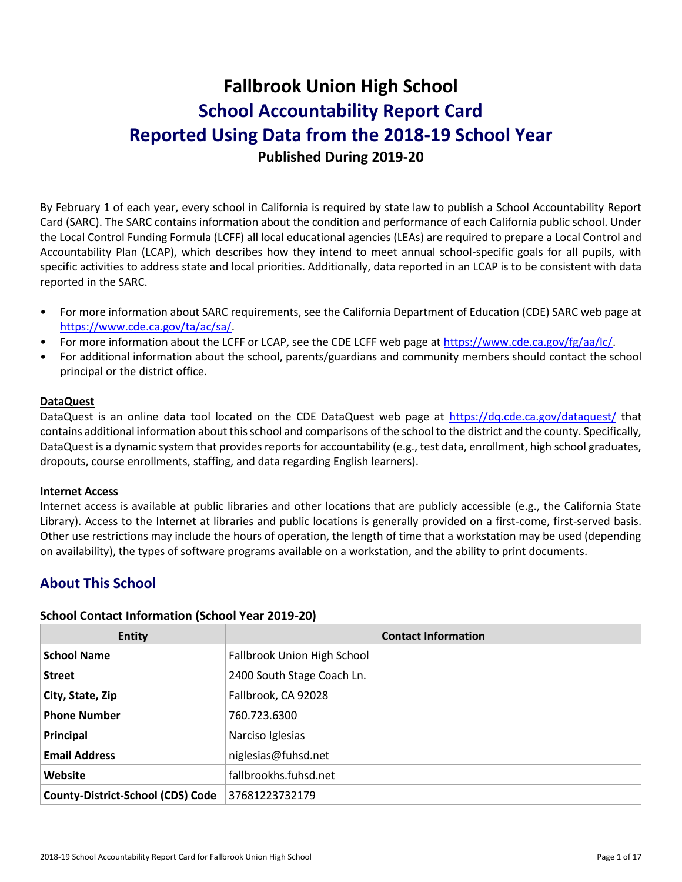# **Fallbrook Union High School School Accountability Report Card Reported Using Data from the 2018-19 School Year Published During 2019-20**

By February 1 of each year, every school in California is required by state law to publish a School Accountability Report Card (SARC). The SARC contains information about the condition and performance of each California public school. Under the Local Control Funding Formula (LCFF) all local educational agencies (LEAs) are required to prepare a Local Control and Accountability Plan (LCAP), which describes how they intend to meet annual school-specific goals for all pupils, with specific activities to address state and local priorities. Additionally, data reported in an LCAP is to be consistent with data reported in the SARC.

- For more information about SARC requirements, see the California Department of Education (CDE) SARC web page at [https://www.cde.ca.gov/ta/ac/sa/.](https://www.cde.ca.gov/ta/ac/sa/)
- For more information about the LCFF or LCAP, see the CDE LCFF web page at [https://www.cde.ca.gov/fg/aa/lc/.](https://www.cde.ca.gov/fg/aa/lc/)
- For additional information about the school, parents/guardians and community members should contact the school principal or the district office.

#### **DataQuest**

DataQuest is an online data tool located on the CDE DataQuest web page at<https://dq.cde.ca.gov/dataquest/> that contains additional information about this school and comparisons of the school to the district and the county. Specifically, DataQuest is a dynamic system that provides reports for accountability (e.g., test data, enrollment, high school graduates, dropouts, course enrollments, staffing, and data regarding English learners).

#### **Internet Access**

Internet access is available at public libraries and other locations that are publicly accessible (e.g., the California State Library). Access to the Internet at libraries and public locations is generally provided on a first-come, first-served basis. Other use restrictions may include the hours of operation, the length of time that a workstation may be used (depending on availability), the types of software programs available on a workstation, and the ability to print documents.

# **About This School**

#### **School Contact Information (School Year 2019-20)**

| <b>Entity</b>                            | <b>Contact Information</b>  |
|------------------------------------------|-----------------------------|
| <b>School Name</b>                       | Fallbrook Union High School |
| <b>Street</b>                            | 2400 South Stage Coach Ln.  |
| City, State, Zip                         | Fallbrook, CA 92028         |
| <b>Phone Number</b>                      | 760.723.6300                |
| Principal                                | Narciso Iglesias            |
| <b>Email Address</b>                     | niglesias@fuhsd.net         |
| Website                                  | fallbrookhs.fuhsd.net       |
| <b>County-District-School (CDS) Code</b> | 37681223732179              |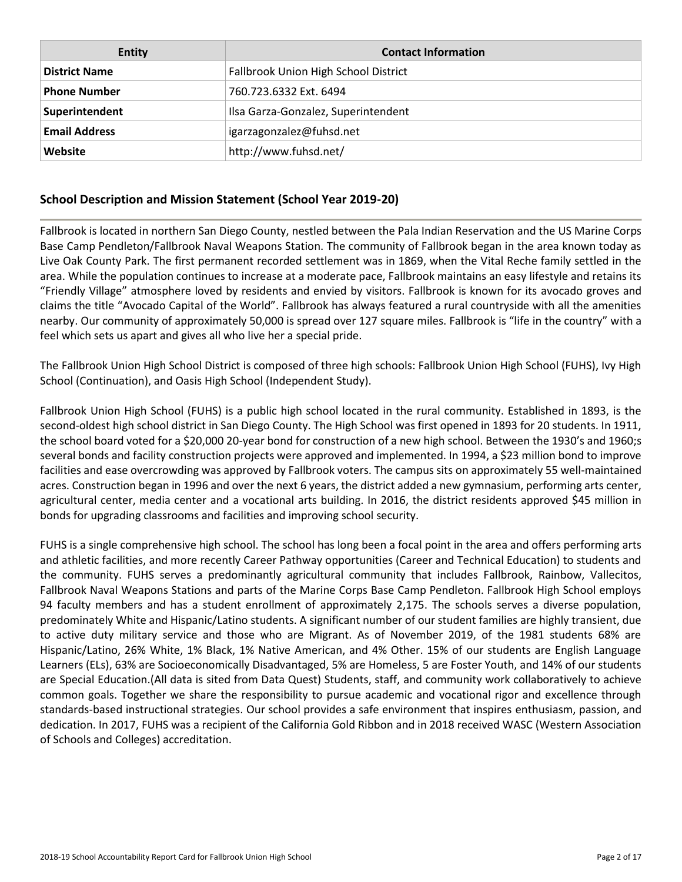| <b>Entity</b>        | <b>Contact Information</b>           |
|----------------------|--------------------------------------|
| <b>District Name</b> | Fallbrook Union High School District |
| <b>Phone Number</b>  | 760.723.6332 Ext. 6494               |
| Superintendent       | Ilsa Garza-Gonzalez, Superintendent  |
| <b>Email Address</b> | igarzagonzalez@fuhsd.net             |
| Website              | http://www.fuhsd.net/                |

#### **School Description and Mission Statement (School Year 2019-20)**

Fallbrook is located in northern San Diego County, nestled between the Pala Indian Reservation and the US Marine Corps Base Camp Pendleton/Fallbrook Naval Weapons Station. The community of Fallbrook began in the area known today as Live Oak County Park. The first permanent recorded settlement was in 1869, when the Vital Reche family settled in the area. While the population continues to increase at a moderate pace, Fallbrook maintains an easy lifestyle and retains its "Friendly Village" atmosphere loved by residents and envied by visitors. Fallbrook is known for its avocado groves and claims the title "Avocado Capital of the World". Fallbrook has always featured a rural countryside with all the amenities nearby. Our community of approximately 50,000 is spread over 127 square miles. Fallbrook is "life in the country" with a feel which sets us apart and gives all who live her a special pride.

The Fallbrook Union High School District is composed of three high schools: Fallbrook Union High School (FUHS), Ivy High School (Continuation), and Oasis High School (Independent Study).

Fallbrook Union High School (FUHS) is a public high school located in the rural community. Established in 1893, is the second-oldest high school district in San Diego County. The High School was first opened in 1893 for 20 students. In 1911, the school board voted for a \$20,000 20-year bond for construction of a new high school. Between the 1930's and 1960;s several bonds and facility construction projects were approved and implemented. In 1994, a \$23 million bond to improve facilities and ease overcrowding was approved by Fallbrook voters. The campus sits on approximately 55 well-maintained acres. Construction began in 1996 and over the next 6 years, the district added a new gymnasium, performing arts center, agricultural center, media center and a vocational arts building. In 2016, the district residents approved \$45 million in bonds for upgrading classrooms and facilities and improving school security.

FUHS is a single comprehensive high school. The school has long been a focal point in the area and offers performing arts and athletic facilities, and more recently Career Pathway opportunities (Career and Technical Education) to students and the community. FUHS serves a predominantly agricultural community that includes Fallbrook, Rainbow, Vallecitos, Fallbrook Naval Weapons Stations and parts of the Marine Corps Base Camp Pendleton. Fallbrook High School employs 94 faculty members and has a student enrollment of approximately 2,175. The schools serves a diverse population, predominately White and Hispanic/Latino students. A significant number of our student families are highly transient, due to active duty military service and those who are Migrant. As of November 2019, of the 1981 students 68% are Hispanic/Latino, 26% White, 1% Black, 1% Native American, and 4% Other. 15% of our students are English Language Learners (ELs), 63% are Socioeconomically Disadvantaged, 5% are Homeless, 5 are Foster Youth, and 14% of our students are Special Education.(All data is sited from Data Quest) Students, staff, and community work collaboratively to achieve common goals. Together we share the responsibility to pursue academic and vocational rigor and excellence through standards-based instructional strategies. Our school provides a safe environment that inspires enthusiasm, passion, and dedication. In 2017, FUHS was a recipient of the California Gold Ribbon and in 2018 received WASC (Western Association of Schools and Colleges) accreditation.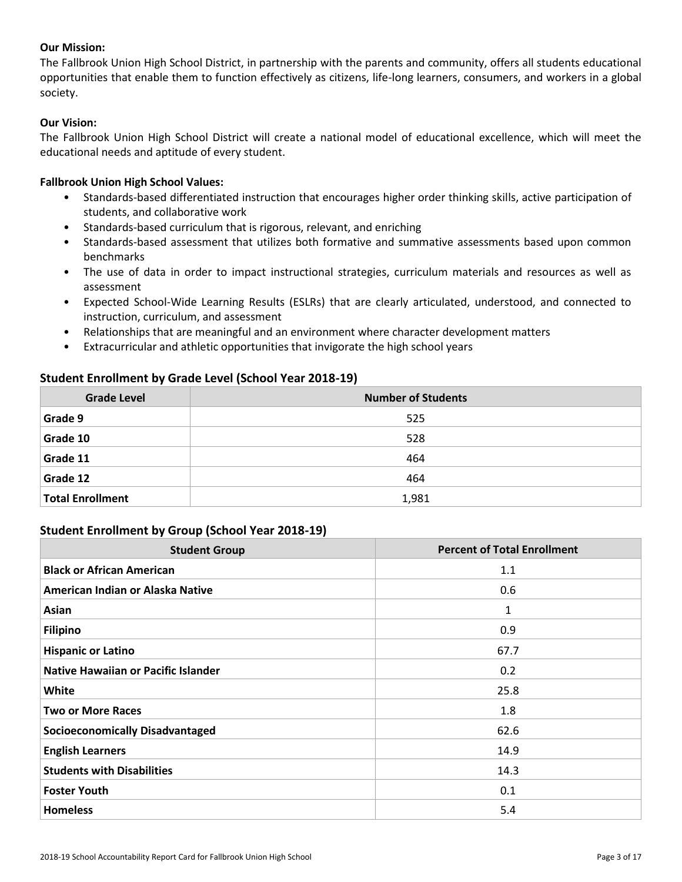#### **Our Mission:**

The Fallbrook Union High School District, in partnership with the parents and community, offers all students educational opportunities that enable them to function effectively as citizens, life-long learners, consumers, and workers in a global society.

#### **Our Vision:**

The Fallbrook Union High School District will create a national model of educational excellence, which will meet the educational needs and aptitude of every student.

#### **Fallbrook Union High School Values:**

- Standards-based differentiated instruction that encourages higher order thinking skills, active participation of students, and collaborative work
- Standards-based curriculum that is rigorous, relevant, and enriching
- Standards-based assessment that utilizes both formative and summative assessments based upon common benchmarks
- The use of data in order to impact instructional strategies, curriculum materials and resources as well as assessment
- Expected School-Wide Learning Results (ESLRs) that are clearly articulated, understood, and connected to instruction, curriculum, and assessment
- Relationships that are meaningful and an environment where character development matters
- Extracurricular and athletic opportunities that invigorate the high school years

#### **Student Enrollment by Grade Level (School Year 2018-19)**

| <b>Grade Level</b>      | <b>Number of Students</b> |  |  |  |
|-------------------------|---------------------------|--|--|--|
| Grade 9                 | 525                       |  |  |  |
| Grade 10                | 528                       |  |  |  |
| Grade 11                | 464                       |  |  |  |
| Grade 12                | 464                       |  |  |  |
| <b>Total Enrollment</b> | 1,981                     |  |  |  |

#### **Student Enrollment by Group (School Year 2018-19)**

| <b>Student Group</b>                       | <b>Percent of Total Enrollment</b> |
|--------------------------------------------|------------------------------------|
| <b>Black or African American</b>           | 1.1                                |
| American Indian or Alaska Native           | 0.6                                |
| Asian                                      | 1                                  |
| <b>Filipino</b>                            | 0.9                                |
| <b>Hispanic or Latino</b>                  | 67.7                               |
| <b>Native Hawaiian or Pacific Islander</b> | 0.2                                |
| White                                      | 25.8                               |
| <b>Two or More Races</b>                   | 1.8                                |
| <b>Socioeconomically Disadvantaged</b>     | 62.6                               |
| <b>English Learners</b>                    | 14.9                               |
| <b>Students with Disabilities</b>          | 14.3                               |
| <b>Foster Youth</b>                        | 0.1                                |
| <b>Homeless</b>                            | 5.4                                |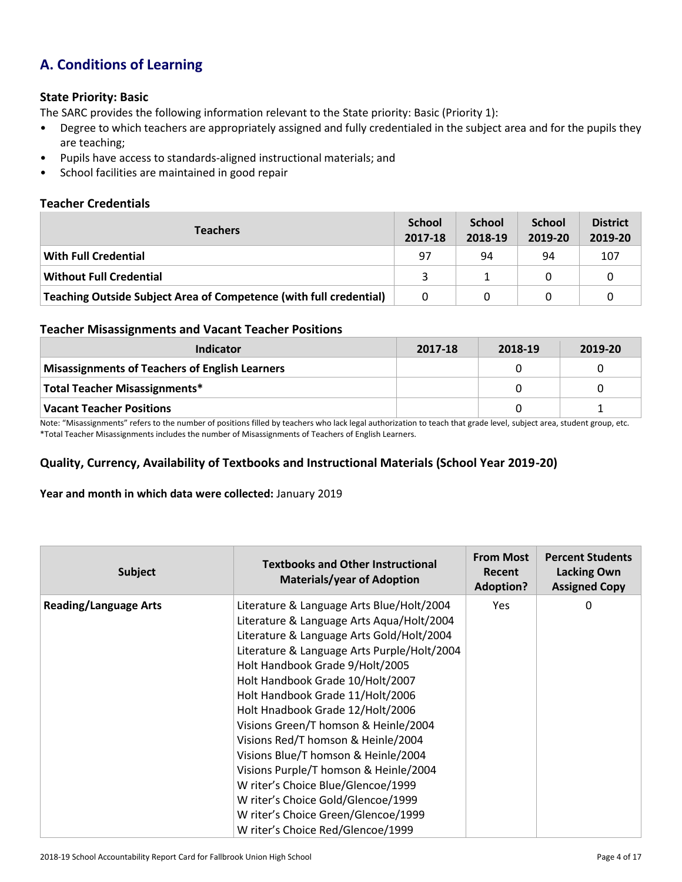# **A. Conditions of Learning**

#### **State Priority: Basic**

The SARC provides the following information relevant to the State priority: Basic (Priority 1):

- Degree to which teachers are appropriately assigned and fully credentialed in the subject area and for the pupils they are teaching;
- Pupils have access to standards-aligned instructional materials; and
- School facilities are maintained in good repair

#### **Teacher Credentials**

| <b>Teachers</b>                                                    | <b>School</b><br>2017-18 | <b>School</b><br>2018-19 | <b>School</b><br>2019-20 | <b>District</b><br>2019-20 |
|--------------------------------------------------------------------|--------------------------|--------------------------|--------------------------|----------------------------|
| With Full Credential                                               | 97                       | 94                       | 94                       | 107                        |
| <b>Without Full Credential</b>                                     | ₹                        |                          |                          |                            |
| Teaching Outside Subject Area of Competence (with full credential) | 0                        |                          |                          |                            |

#### **Teacher Misassignments and Vacant Teacher Positions**

| Indicator                                             | 2017-18 | 2018-19 | 2019-20 |
|-------------------------------------------------------|---------|---------|---------|
| <b>Misassignments of Teachers of English Learners</b> |         |         |         |
| Total Teacher Misassignments*                         |         |         |         |
| <b>Vacant Teacher Positions</b>                       |         |         |         |

Note: "Misassignments" refers to the number of positions filled by teachers who lack legal authorization to teach that grade level, subject area, student group, etc. \*Total Teacher Misassignments includes the number of Misassignments of Teachers of English Learners.

#### **Quality, Currency, Availability of Textbooks and Instructional Materials (School Year 2019-20)**

#### **Year and month in which data were collected:** January 2019

| <b>Subject</b>               | <b>Textbooks and Other Instructional</b><br><b>Materials/year of Adoption</b>                                                                                                                                                                                                                                                                                                                                                                                                                                                                                                                                                                           | <b>From Most</b><br><b>Recent</b><br><b>Adoption?</b> | <b>Percent Students</b><br><b>Lacking Own</b><br><b>Assigned Copy</b> |
|------------------------------|---------------------------------------------------------------------------------------------------------------------------------------------------------------------------------------------------------------------------------------------------------------------------------------------------------------------------------------------------------------------------------------------------------------------------------------------------------------------------------------------------------------------------------------------------------------------------------------------------------------------------------------------------------|-------------------------------------------------------|-----------------------------------------------------------------------|
| <b>Reading/Language Arts</b> | Literature & Language Arts Blue/Holt/2004<br>Literature & Language Arts Aqua/Holt/2004<br>Literature & Language Arts Gold/Holt/2004<br>Literature & Language Arts Purple/Holt/2004<br>Holt Handbook Grade 9/Holt/2005<br>Holt Handbook Grade 10/Holt/2007<br>Holt Handbook Grade 11/Holt/2006<br>Holt Hnadbook Grade 12/Holt/2006<br>Visions Green/T homson & Heinle/2004<br>Visions Red/T homson & Heinle/2004<br>Visions Blue/T homson & Heinle/2004<br>Visions Purple/T homson & Heinle/2004<br>W riter's Choice Blue/Glencoe/1999<br>W riter's Choice Gold/Glencoe/1999<br>W riter's Choice Green/Glencoe/1999<br>W riter's Choice Red/Glencoe/1999 | <b>Yes</b>                                            | 0                                                                     |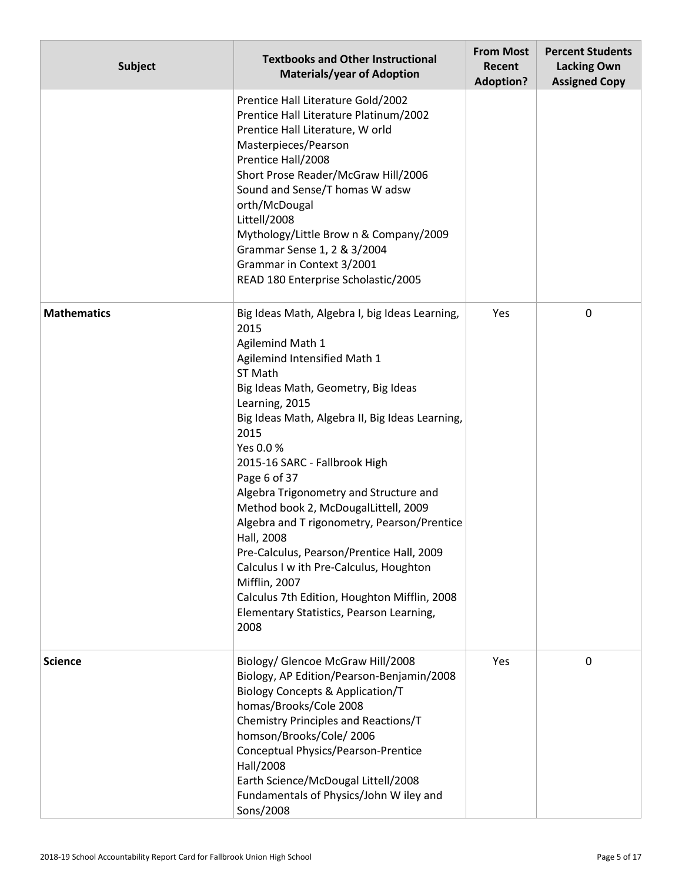| <b>Subject</b>     | <b>Textbooks and Other Instructional</b><br><b>Materials/year of Adoption</b>                                                                                                                                                                                                                                                                                                                                                                                                                                                                                                                                                                                      | <b>From Most</b><br>Recent<br><b>Adoption?</b> | <b>Percent Students</b><br><b>Lacking Own</b><br><b>Assigned Copy</b> |
|--------------------|--------------------------------------------------------------------------------------------------------------------------------------------------------------------------------------------------------------------------------------------------------------------------------------------------------------------------------------------------------------------------------------------------------------------------------------------------------------------------------------------------------------------------------------------------------------------------------------------------------------------------------------------------------------------|------------------------------------------------|-----------------------------------------------------------------------|
|                    | Prentice Hall Literature Gold/2002<br>Prentice Hall Literature Platinum/2002<br>Prentice Hall Literature, W orld<br>Masterpieces/Pearson<br>Prentice Hall/2008<br>Short Prose Reader/McGraw Hill/2006<br>Sound and Sense/T homas W adsw<br>orth/McDougal<br>Littell/2008<br>Mythology/Little Brow n & Company/2009<br>Grammar Sense 1, 2 & 3/2004<br>Grammar in Context 3/2001<br>READ 180 Enterprise Scholastic/2005                                                                                                                                                                                                                                              |                                                |                                                                       |
| <b>Mathematics</b> | Big Ideas Math, Algebra I, big Ideas Learning,<br>2015<br>Agilemind Math 1<br>Agilemind Intensified Math 1<br>ST Math<br>Big Ideas Math, Geometry, Big Ideas<br>Learning, 2015<br>Big Ideas Math, Algebra II, Big Ideas Learning,<br>2015<br>Yes 0.0%<br>2015-16 SARC - Fallbrook High<br>Page 6 of 37<br>Algebra Trigonometry and Structure and<br>Method book 2, McDougalLittell, 2009<br>Algebra and T rigonometry, Pearson/Prentice<br>Hall, 2008<br>Pre-Calculus, Pearson/Prentice Hall, 2009<br>Calculus I w ith Pre-Calculus, Houghton<br>Mifflin, 2007<br>Calculus 7th Edition, Houghton Mifflin, 2008<br>Elementary Statistics, Pearson Learning,<br>2008 | Yes                                            | 0                                                                     |
| <b>Science</b>     | Biology/ Glencoe McGraw Hill/2008<br>Biology, AP Edition/Pearson-Benjamin/2008<br><b>Biology Concepts &amp; Application/T</b><br>homas/Brooks/Cole 2008<br>Chemistry Principles and Reactions/T<br>homson/Brooks/Cole/2006<br>Conceptual Physics/Pearson-Prentice<br>Hall/2008<br>Earth Science/McDougal Littell/2008<br>Fundamentals of Physics/John W iley and<br>Sons/2008                                                                                                                                                                                                                                                                                      | Yes                                            | 0                                                                     |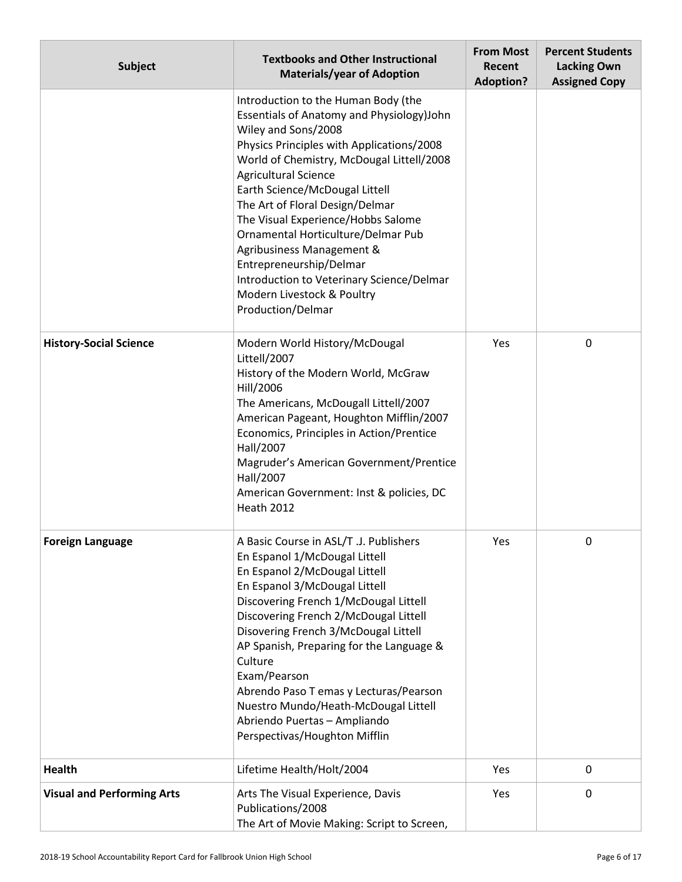| <b>Subject</b>                    | <b>Textbooks and Other Instructional</b><br><b>Materials/year of Adoption</b>                                                                                                                                                                                                                                                                                                                                                                                                                                                             | <b>From Most</b><br>Recent<br><b>Adoption?</b> | <b>Percent Students</b><br><b>Lacking Own</b><br><b>Assigned Copy</b> |
|-----------------------------------|-------------------------------------------------------------------------------------------------------------------------------------------------------------------------------------------------------------------------------------------------------------------------------------------------------------------------------------------------------------------------------------------------------------------------------------------------------------------------------------------------------------------------------------------|------------------------------------------------|-----------------------------------------------------------------------|
|                                   | Introduction to the Human Body (the<br>Essentials of Anatomy and Physiology)John<br>Wiley and Sons/2008<br>Physics Principles with Applications/2008<br>World of Chemistry, McDougal Littell/2008<br><b>Agricultural Science</b><br>Earth Science/McDougal Littell<br>The Art of Floral Design/Delmar<br>The Visual Experience/Hobbs Salome<br>Ornamental Horticulture/Delmar Pub<br>Agribusiness Management &<br>Entrepreneurship/Delmar<br>Introduction to Veterinary Science/Delmar<br>Modern Livestock & Poultry<br>Production/Delmar |                                                |                                                                       |
| <b>History-Social Science</b>     | Modern World History/McDougal<br>Littell/2007<br>History of the Modern World, McGraw<br>Hill/2006<br>The Americans, McDougall Littell/2007<br>American Pageant, Houghton Mifflin/2007<br>Economics, Principles in Action/Prentice<br>Hall/2007<br>Magruder's American Government/Prentice<br>Hall/2007<br>American Government: Inst & policies, DC<br><b>Heath 2012</b>                                                                                                                                                                   | Yes                                            | 0                                                                     |
| <b>Foreign Language</b>           | A Basic Course in ASL/T .J. Publishers<br>En Espanol 1/McDougal Littell<br>En Espanol 2/McDougal Littell<br>En Espanol 3/McDougal Littell<br>Discovering French 1/McDougal Littell<br>Discovering French 2/McDougal Littell<br>Disovering French 3/McDougal Littell<br>AP Spanish, Preparing for the Language &<br>Culture<br>Exam/Pearson<br>Abrendo Paso T emas y Lecturas/Pearson<br>Nuestro Mundo/Heath-McDougal Littell<br>Abriendo Puertas - Ampliando<br>Perspectivas/Houghton Mifflin                                             | Yes                                            | 0                                                                     |
| <b>Health</b>                     | Lifetime Health/Holt/2004                                                                                                                                                                                                                                                                                                                                                                                                                                                                                                                 | Yes                                            | 0                                                                     |
| <b>Visual and Performing Arts</b> | Arts The Visual Experience, Davis<br>Publications/2008<br>The Art of Movie Making: Script to Screen,                                                                                                                                                                                                                                                                                                                                                                                                                                      | Yes                                            | 0                                                                     |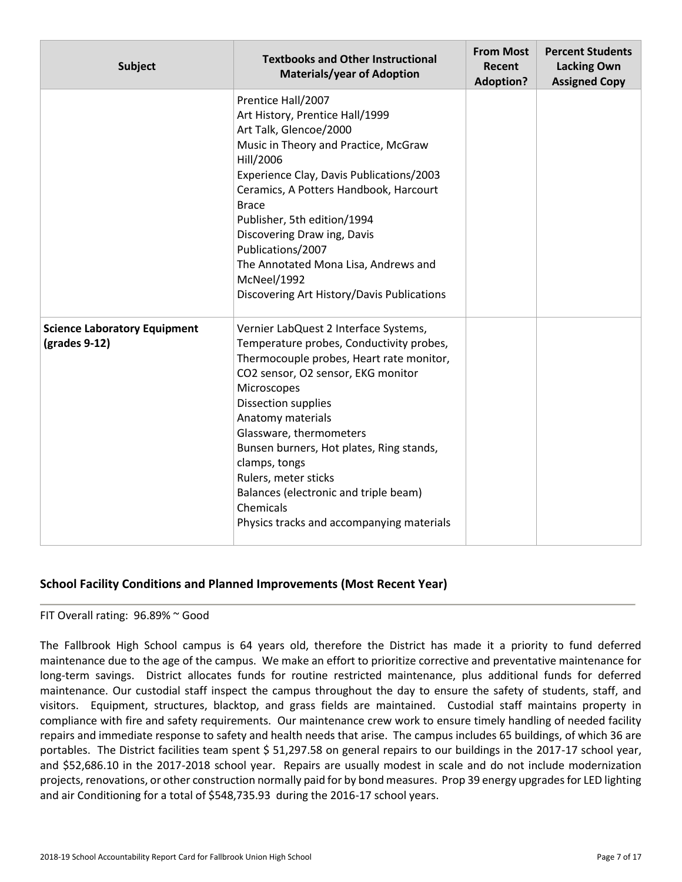| <b>Subject</b>                                       | <b>Textbooks and Other Instructional</b><br><b>Materials/year of Adoption</b>                                                                                                                                                                                                                                                                                                                                                                            | <b>From Most</b><br>Recent<br><b>Adoption?</b> | <b>Percent Students</b><br><b>Lacking Own</b><br><b>Assigned Copy</b> |
|------------------------------------------------------|----------------------------------------------------------------------------------------------------------------------------------------------------------------------------------------------------------------------------------------------------------------------------------------------------------------------------------------------------------------------------------------------------------------------------------------------------------|------------------------------------------------|-----------------------------------------------------------------------|
|                                                      | Prentice Hall/2007<br>Art History, Prentice Hall/1999<br>Art Talk, Glencoe/2000<br>Music in Theory and Practice, McGraw<br>Hill/2006<br>Experience Clay, Davis Publications/2003<br>Ceramics, A Potters Handbook, Harcourt<br><b>Brace</b><br>Publisher, 5th edition/1994<br>Discovering Draw ing, Davis<br>Publications/2007<br>The Annotated Mona Lisa, Andrews and<br>McNeel/1992<br>Discovering Art History/Davis Publications                       |                                                |                                                                       |
| <b>Science Laboratory Equipment</b><br>(grades 9-12) | Vernier LabQuest 2 Interface Systems,<br>Temperature probes, Conductivity probes,<br>Thermocouple probes, Heart rate monitor,<br>CO2 sensor, O2 sensor, EKG monitor<br>Microscopes<br><b>Dissection supplies</b><br>Anatomy materials<br>Glassware, thermometers<br>Bunsen burners, Hot plates, Ring stands,<br>clamps, tongs<br>Rulers, meter sticks<br>Balances (electronic and triple beam)<br>Chemicals<br>Physics tracks and accompanying materials |                                                |                                                                       |

#### **School Facility Conditions and Planned Improvements (Most Recent Year)**

FIT Overall rating: 96.89% ~ Good

The Fallbrook High School campus is 64 years old, therefore the District has made it a priority to fund deferred maintenance due to the age of the campus. We make an effort to prioritize corrective and preventative maintenance for long-term savings. District allocates funds for routine restricted maintenance, plus additional funds for deferred maintenance. Our custodial staff inspect the campus throughout the day to ensure the safety of students, staff, and visitors. Equipment, structures, blacktop, and grass fields are maintained. Custodial staff maintains property in compliance with fire and safety requirements. Our maintenance crew work to ensure timely handling of needed facility repairs and immediate response to safety and health needs that arise. The campus includes 65 buildings, of which 36 are portables. The District facilities team spent \$ 51,297.58 on general repairs to our buildings in the 2017-17 school year, and \$52,686.10 in the 2017-2018 school year. Repairs are usually modest in scale and do not include modernization projects, renovations, or other construction normally paid for by bond measures. Prop 39 energy upgrades for LED lighting and air Conditioning for a total of \$548,735.93 during the 2016-17 school years.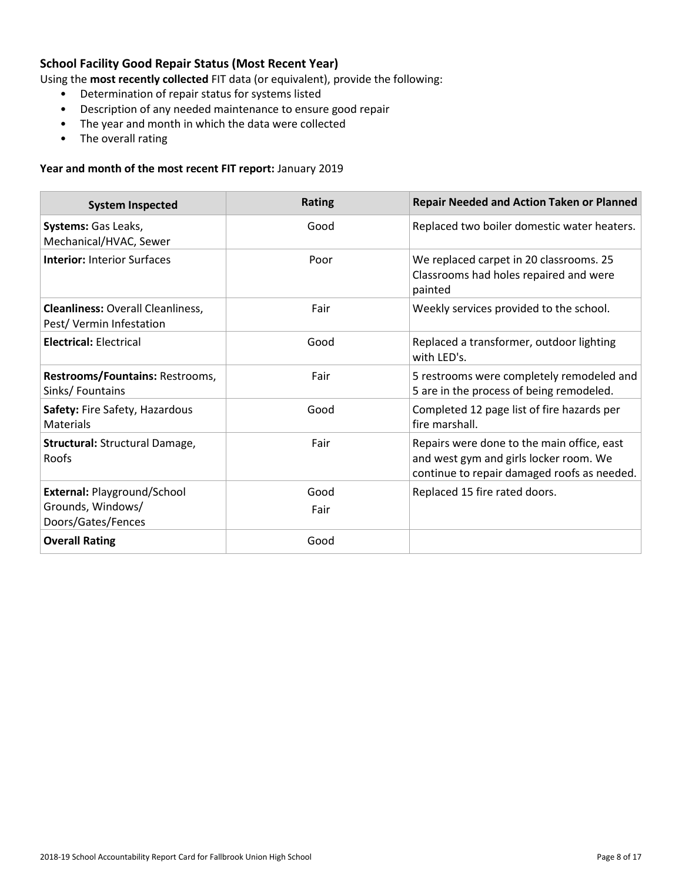### **School Facility Good Repair Status (Most Recent Year)**

Using the **most recently collected** FIT data (or equivalent), provide the following:

- Determination of repair status for systems listed
- Description of any needed maintenance to ensure good repair
- The year and month in which the data were collected
- The overall rating

#### **Year and month of the most recent FIT report:** January 2019

| <b>System Inspected</b>                                                       | <b>Rating</b> | <b>Repair Needed and Action Taken or Planned</b>                                                                                    |
|-------------------------------------------------------------------------------|---------------|-------------------------------------------------------------------------------------------------------------------------------------|
| Systems: Gas Leaks,<br>Mechanical/HVAC, Sewer                                 | Good          | Replaced two boiler domestic water heaters.                                                                                         |
| <b>Interior: Interior Surfaces</b>                                            | Poor          | We replaced carpet in 20 classrooms. 25<br>Classrooms had holes repaired and were<br>painted                                        |
| <b>Cleanliness: Overall Cleanliness,</b><br>Pest/Vermin Infestation           | Fair          | Weekly services provided to the school.                                                                                             |
| <b>Electrical: Electrical</b>                                                 | Good          | Replaced a transformer, outdoor lighting<br>with LED's.                                                                             |
| Restrooms/Fountains: Restrooms,<br>Sinks/Fountains                            | Fair          | 5 restrooms were completely remodeled and<br>5 are in the process of being remodeled.                                               |
| Safety: Fire Safety, Hazardous<br><b>Materials</b>                            | Good          | Completed 12 page list of fire hazards per<br>fire marshall.                                                                        |
| Structural: Structural Damage,<br>Roofs                                       | Fair          | Repairs were done to the main office, east<br>and west gym and girls locker room. We<br>continue to repair damaged roofs as needed. |
| <b>External: Playground/School</b><br>Grounds, Windows/<br>Doors/Gates/Fences | Good<br>Fair  | Replaced 15 fire rated doors.                                                                                                       |
| <b>Overall Rating</b>                                                         | Good          |                                                                                                                                     |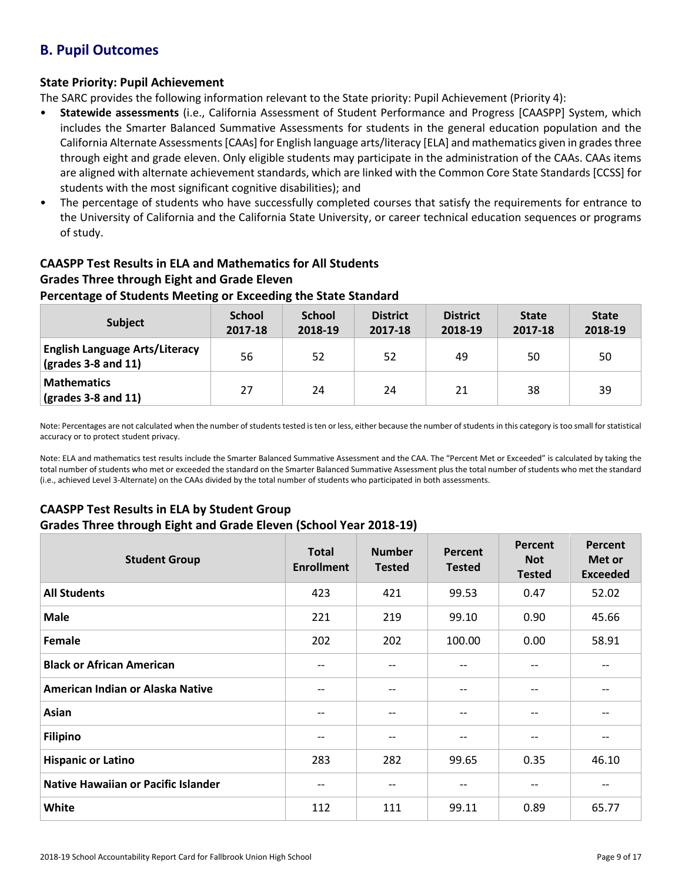# **B. Pupil Outcomes**

#### **State Priority: Pupil Achievement**

The SARC provides the following information relevant to the State priority: Pupil Achievement (Priority 4):

- **Statewide assessments** (i.e., California Assessment of Student Performance and Progress [CAASPP] System, which includes the Smarter Balanced Summative Assessments for students in the general education population and the California Alternate Assessments [CAAs] for English language arts/literacy [ELA] and mathematics given in grades three through eight and grade eleven. Only eligible students may participate in the administration of the CAAs. CAAs items are aligned with alternate achievement standards, which are linked with the Common Core State Standards [CCSS] for students with the most significant cognitive disabilities); and
- The percentage of students who have successfully completed courses that satisfy the requirements for entrance to the University of California and the California State University, or career technical education sequences or programs of study.

# **CAASPP Test Results in ELA and Mathematics for All Students Grades Three through Eight and Grade Eleven**

#### **Percentage of Students Meeting or Exceeding the State Standard**

| <b>Subject</b>                                                       | <b>School</b><br>2017-18 | <b>School</b><br>2018-19 | <b>District</b><br>2017-18 | <b>District</b><br>2018-19 | <b>State</b><br>2017-18 | <b>State</b><br>2018-19 |
|----------------------------------------------------------------------|--------------------------|--------------------------|----------------------------|----------------------------|-------------------------|-------------------------|
| <b>English Language Arts/Literacy</b><br>$\vert$ (grades 3-8 and 11) | 56                       | 52                       | 52                         | 49                         | 50                      | 50                      |
| <b>Mathematics</b><br>$\vert$ (grades 3-8 and 11)                    | 27                       | 24                       | 24                         | 21                         | 38                      | 39                      |

Note: Percentages are not calculated when the number of students tested is ten or less, either because the number of students in this category is too small for statistical accuracy or to protect student privacy.

Note: ELA and mathematics test results include the Smarter Balanced Summative Assessment and the CAA. The "Percent Met or Exceeded" is calculated by taking the total number of students who met or exceeded the standard on the Smarter Balanced Summative Assessment plus the total number of students who met the standard (i.e., achieved Level 3-Alternate) on the CAAs divided by the total number of students who participated in both assessments.

# **CAASPP Test Results in ELA by Student Group**

#### **Grades Three through Eight and Grade Eleven (School Year 2018-19)**

| <b>Student Group</b>                       | <b>Total</b><br><b>Enrollment</b> | <b>Number</b><br><b>Tested</b> | Percent<br><b>Tested</b> | Percent<br><b>Not</b><br><b>Tested</b> | Percent<br>Met or<br><b>Exceeded</b> |
|--------------------------------------------|-----------------------------------|--------------------------------|--------------------------|----------------------------------------|--------------------------------------|
| <b>All Students</b>                        | 423                               | 421                            | 99.53                    | 0.47                                   | 52.02                                |
| <b>Male</b>                                | 221                               | 219                            | 99.10                    | 0.90                                   | 45.66                                |
| Female                                     | 202                               | 202                            | 100.00                   | 0.00                                   | 58.91                                |
| <b>Black or African American</b>           | --                                | $- -$                          | --                       | --                                     | $- -$                                |
| American Indian or Alaska Native           | $-$                               | --                             | --                       | $- -$                                  |                                      |
| Asian                                      | $- -$                             | $- -$                          | $\qquad \qquad -$        | $\qquad \qquad -$                      | $- -$                                |
| <b>Filipino</b>                            | --                                | $- -$                          | --                       | $\qquad \qquad -$                      | $- -$                                |
| <b>Hispanic or Latino</b>                  | 283                               | 282                            | 99.65                    | 0.35                                   | 46.10                                |
| <b>Native Hawaiian or Pacific Islander</b> | $- -$                             | $- -$                          | $-\,-$                   | $\qquad \qquad -$                      |                                      |
| White                                      | 112                               | 111                            | 99.11                    | 0.89                                   | 65.77                                |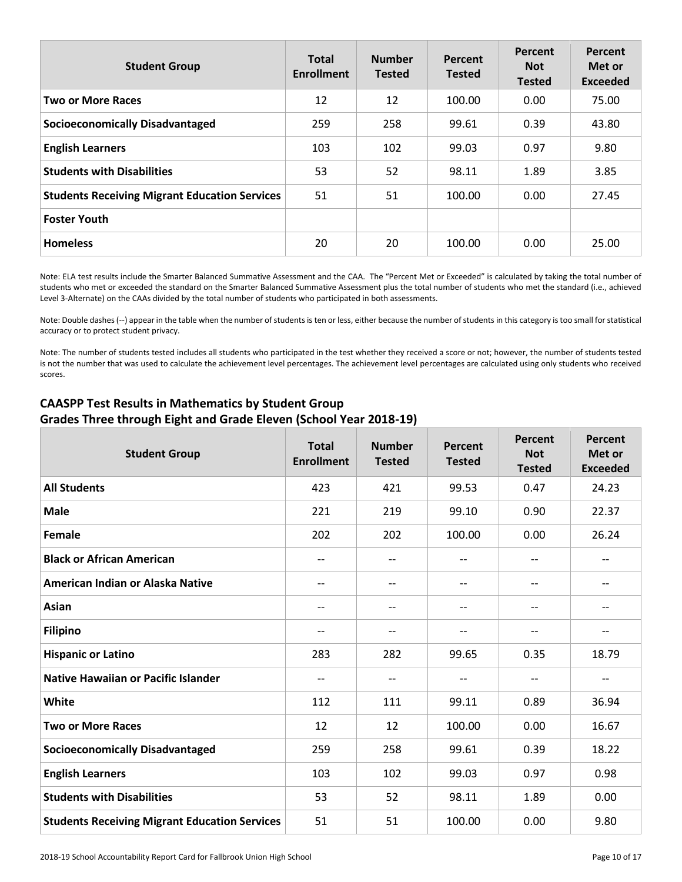| <b>Student Group</b>                                 | <b>Total</b><br><b>Enrollment</b> | <b>Number</b><br><b>Tested</b> | Percent<br><b>Tested</b> | <b>Percent</b><br><b>Not</b><br><b>Tested</b> | <b>Percent</b><br>Met or<br><b>Exceeded</b> |
|------------------------------------------------------|-----------------------------------|--------------------------------|--------------------------|-----------------------------------------------|---------------------------------------------|
| <b>Two or More Races</b>                             | 12                                | 12                             | 100.00                   | 0.00                                          | 75.00                                       |
| <b>Socioeconomically Disadvantaged</b>               | 259                               | 258                            | 99.61                    | 0.39                                          | 43.80                                       |
| <b>English Learners</b>                              | 103                               | 102                            | 99.03                    | 0.97                                          | 9.80                                        |
| <b>Students with Disabilities</b>                    | 53                                | 52                             | 98.11                    | 1.89                                          | 3.85                                        |
| <b>Students Receiving Migrant Education Services</b> | 51                                | 51                             | 100.00                   | 0.00                                          | 27.45                                       |
| <b>Foster Youth</b>                                  |                                   |                                |                          |                                               |                                             |
| <b>Homeless</b>                                      | 20                                | 20                             | 100.00                   | 0.00                                          | 25.00                                       |

Note: ELA test results include the Smarter Balanced Summative Assessment and the CAA. The "Percent Met or Exceeded" is calculated by taking the total number of students who met or exceeded the standard on the Smarter Balanced Summative Assessment plus the total number of students who met the standard (i.e., achieved Level 3-Alternate) on the CAAs divided by the total number of students who participated in both assessments.

Note: Double dashes (--) appear in the table when the number of students is ten or less, either because the number of students in this category is too small for statistical accuracy or to protect student privacy.

Note: The number of students tested includes all students who participated in the test whether they received a score or not; however, the number of students tested is not the number that was used to calculate the achievement level percentages. The achievement level percentages are calculated using only students who received scores.

| <b>Student Group</b>                                 | <b>Total</b><br><b>Enrollment</b> | <b>Number</b><br><b>Tested</b> | Percent<br><b>Tested</b> | Percent<br><b>Not</b><br><b>Tested</b> | Percent<br>Met or<br><b>Exceeded</b> |
|------------------------------------------------------|-----------------------------------|--------------------------------|--------------------------|----------------------------------------|--------------------------------------|
| <b>All Students</b>                                  | 423                               | 421                            | 99.53                    | 0.47                                   | 24.23                                |
| <b>Male</b>                                          | 221                               | 219                            | 99.10                    | 0.90                                   | 22.37                                |
| <b>Female</b>                                        | 202                               | 202                            | 100.00                   | 0.00                                   | 26.24                                |
| <b>Black or African American</b>                     | $-\, -$                           | $-$                            | $\overline{\phantom{m}}$ | $\overline{\phantom{a}}$               | $\hspace{0.05cm}$ $\hspace{0.05cm}$  |
| American Indian or Alaska Native                     | $-$                               | $-$                            | $\qquad \qquad -$        | $\overline{\phantom{a}}$               | $\overline{\phantom{a}}$             |
| Asian                                                | $-$                               | $- -$                          | $\overline{\phantom{m}}$ | $\overline{\phantom{a}}$               | $\hspace{0.05cm}$ $\hspace{0.05cm}$  |
| <b>Filipino</b>                                      | $-$                               | $-$                            | $\qquad \qquad -$        | $\overline{\phantom{a}}$               | $-$                                  |
| <b>Hispanic or Latino</b>                            | 283                               | 282                            | 99.65                    | 0.35                                   | 18.79                                |
| <b>Native Hawaiian or Pacific Islander</b>           | $\qquad \qquad -$                 | $-$                            | $\qquad \qquad -$        | $\overline{\phantom{a}}$               | $- -$                                |
| White                                                | 112                               | 111                            | 99.11                    | 0.89                                   | 36.94                                |
| <b>Two or More Races</b>                             | 12                                | 12                             | 100.00                   | 0.00                                   | 16.67                                |
| <b>Socioeconomically Disadvantaged</b>               | 259                               | 258                            | 99.61                    | 0.39                                   | 18.22                                |
| <b>English Learners</b>                              | 103                               | 102                            | 99.03                    | 0.97                                   | 0.98                                 |
| <b>Students with Disabilities</b>                    | 53                                | 52                             | 98.11                    | 1.89                                   | 0.00                                 |
| <b>Students Receiving Migrant Education Services</b> | 51                                | 51                             | 100.00                   | 0.00                                   | 9.80                                 |

### **CAASPP Test Results in Mathematics by Student Group Grades Three through Eight and Grade Eleven (School Year 2018-19)**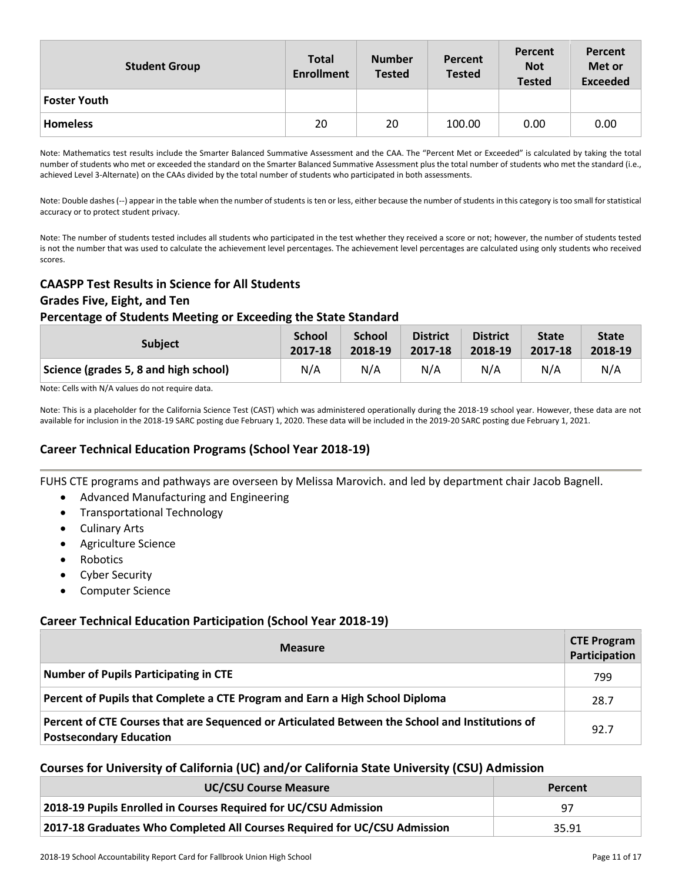| <b>Student Group</b> | <b>Total</b><br><b>Enrollment</b> | <b>Number</b><br><b>Tested</b> | Percent<br><b>Tested</b> | Percent<br><b>Not</b><br><b>Tested</b> | Percent<br>Met or<br><b>Exceeded</b> |
|----------------------|-----------------------------------|--------------------------------|--------------------------|----------------------------------------|--------------------------------------|
| <b>Foster Youth</b>  |                                   |                                |                          |                                        |                                      |
| <b>Homeless</b>      | 20                                | 20                             | 100.00                   | 0.00                                   | 0.00                                 |

Note: Mathematics test results include the Smarter Balanced Summative Assessment and the CAA. The "Percent Met or Exceeded" is calculated by taking the total number of students who met or exceeded the standard on the Smarter Balanced Summative Assessment plus the total number of students who met the standard (i.e., achieved Level 3-Alternate) on the CAAs divided by the total number of students who participated in both assessments.

Note: Double dashes (--) appear in the table when the number of students is ten or less, either because the number of students in this category is too small for statistical accuracy or to protect student privacy.

Note: The number of students tested includes all students who participated in the test whether they received a score or not; however, the number of students tested is not the number that was used to calculate the achievement level percentages. The achievement level percentages are calculated using only students who received scores.

#### **CAASPP Test Results in Science for All Students**

#### **Grades Five, Eight, and Ten**

#### **Percentage of Students Meeting or Exceeding the State Standard**

| <b>Subject</b>                        | <b>School</b> | <b>School</b> | <b>District</b> | <b>District</b> | <b>State</b> | <b>State</b> |
|---------------------------------------|---------------|---------------|-----------------|-----------------|--------------|--------------|
|                                       | 2017-18       | 2018-19       | 2017-18         | 2018-19         | 2017-18      | 2018-19      |
| Science (grades 5, 8 and high school) | N/A           | N/A           | N/A             | N/A             | N/A          | N/A          |

Note: Cells with N/A values do not require data.

Note: This is a placeholder for the California Science Test (CAST) which was administered operationally during the 2018-19 school year. However, these data are not available for inclusion in the 2018-19 SARC posting due February 1, 2020. These data will be included in the 2019-20 SARC posting due February 1, 2021.

## **Career Technical Education Programs (School Year 2018-19)**

FUHS CTE programs and pathways are overseen by Melissa Marovich. and led by department chair Jacob Bagnell.

- Advanced Manufacturing and Engineering
- Transportational Technology
- Culinary Arts
- Agriculture Science
- Robotics
- Cyber Security
- Computer Science

#### **Career Technical Education Participation (School Year 2018-19)**

| <b>Measure</b>                                                                                                                    | <b>CTE Program</b><br>Participation |
|-----------------------------------------------------------------------------------------------------------------------------------|-------------------------------------|
| Number of Pupils Participating in CTE                                                                                             | 799                                 |
| Percent of Pupils that Complete a CTE Program and Earn a High School Diploma                                                      | 28.7                                |
| Percent of CTE Courses that are Sequenced or Articulated Between the School and Institutions of<br><b>Postsecondary Education</b> | 92.7                                |

#### **Courses for University of California (UC) and/or California State University (CSU) Admission**

| <b>UC/CSU Course Measure</b>                                              | Percent |
|---------------------------------------------------------------------------|---------|
| 2018-19 Pupils Enrolled in Courses Required for UC/CSU Admission          | 97      |
| 2017-18 Graduates Who Completed All Courses Required for UC/CSU Admission | 35.91   |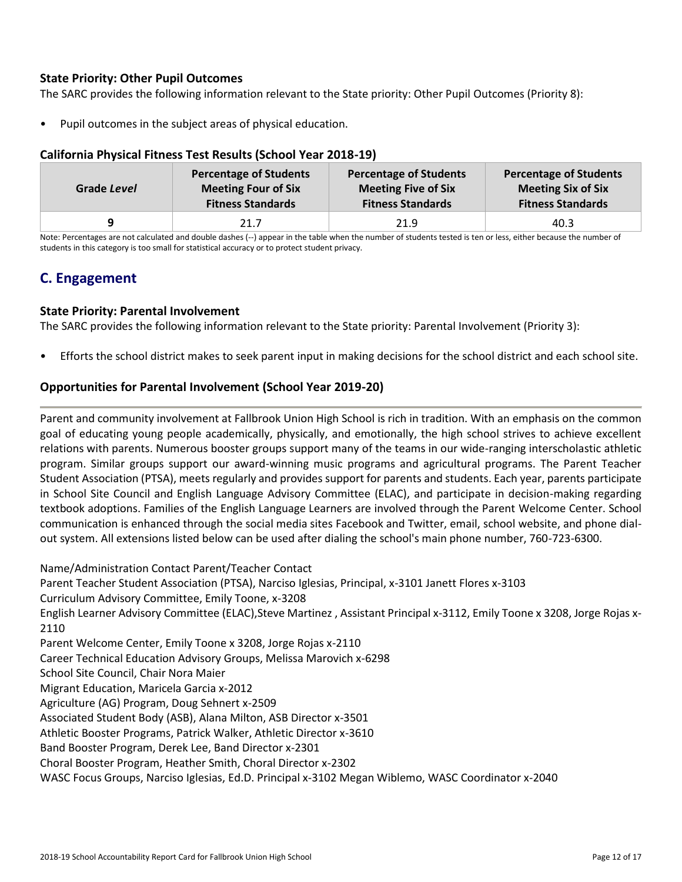#### **State Priority: Other Pupil Outcomes**

The SARC provides the following information relevant to the State priority: Other Pupil Outcomes (Priority 8):

• Pupil outcomes in the subject areas of physical education.

| <u>UUTTU TIIN TIITUU TUTUU TUU TUU TUUMIU TUUTTUUT EULU 19</u> |             |                                                                                         |                                                                                         |                                                                                        |  |  |  |  |  |  |
|----------------------------------------------------------------|-------------|-----------------------------------------------------------------------------------------|-----------------------------------------------------------------------------------------|----------------------------------------------------------------------------------------|--|--|--|--|--|--|
|                                                                | Grade Level | <b>Percentage of Students</b><br><b>Meeting Four of Six</b><br><b>Fitness Standards</b> | <b>Percentage of Students</b><br><b>Meeting Five of Six</b><br><b>Fitness Standards</b> | <b>Percentage of Students</b><br><b>Meeting Six of Six</b><br><b>Fitness Standards</b> |  |  |  |  |  |  |
|                                                                | a           | 21.7                                                                                    | 21.9                                                                                    | 40.3                                                                                   |  |  |  |  |  |  |

#### **California Physical Fitness Test Results (School Year 2018-19)**

Note: Percentages are not calculated and double dashes (--) appear in the table when the number of students tested is ten or less, either because the number of students in this category is too small for statistical accuracy or to protect student privacy.

# **C. Engagement**

#### **State Priority: Parental Involvement**

The SARC provides the following information relevant to the State priority: Parental Involvement (Priority 3):

• Efforts the school district makes to seek parent input in making decisions for the school district and each school site.

#### **Opportunities for Parental Involvement (School Year 2019-20)**

Parent and community involvement at Fallbrook Union High School is rich in tradition. With an emphasis on the common goal of educating young people academically, physically, and emotionally, the high school strives to achieve excellent relations with parents. Numerous booster groups support many of the teams in our wide-ranging interscholastic athletic program. Similar groups support our award-winning music programs and agricultural programs. The Parent Teacher Student Association (PTSA), meets regularly and provides support for parents and students. Each year, parents participate in School Site Council and English Language Advisory Committee (ELAC), and participate in decision-making regarding textbook adoptions. Families of the English Language Learners are involved through the Parent Welcome Center. School communication is enhanced through the social media sites Facebook and Twitter, email, school website, and phone dialout system. All extensions listed below can be used after dialing the school's main phone number, 760-723-6300.

Name/Administration Contact Parent/Teacher Contact Parent Teacher Student Association (PTSA), Narciso Iglesias, Principal, x-3101 Janett Flores x-3103 Curriculum Advisory Committee, Emily Toone, x-3208 English Learner Advisory Committee (ELAC),Steve Martinez , Assistant Principal x-3112, Emily Toone x 3208, Jorge Rojas x-2110 Parent Welcome Center, Emily Toone x 3208, Jorge Rojas x-2110 Career Technical Education Advisory Groups, Melissa Marovich x-6298 School Site Council, Chair Nora Maier Migrant Education, Maricela Garcia x-2012 Agriculture (AG) Program, Doug Sehnert x-2509 Associated Student Body (ASB), Alana Milton, ASB Director x-3501 Athletic Booster Programs, Patrick Walker, Athletic Director x-3610 Band Booster Program, Derek Lee, Band Director x-2301 Choral Booster Program, Heather Smith, Choral Director x-2302 WASC Focus Groups, Narciso Iglesias, Ed.D. Principal x-3102 Megan Wiblemo, WASC Coordinator x-2040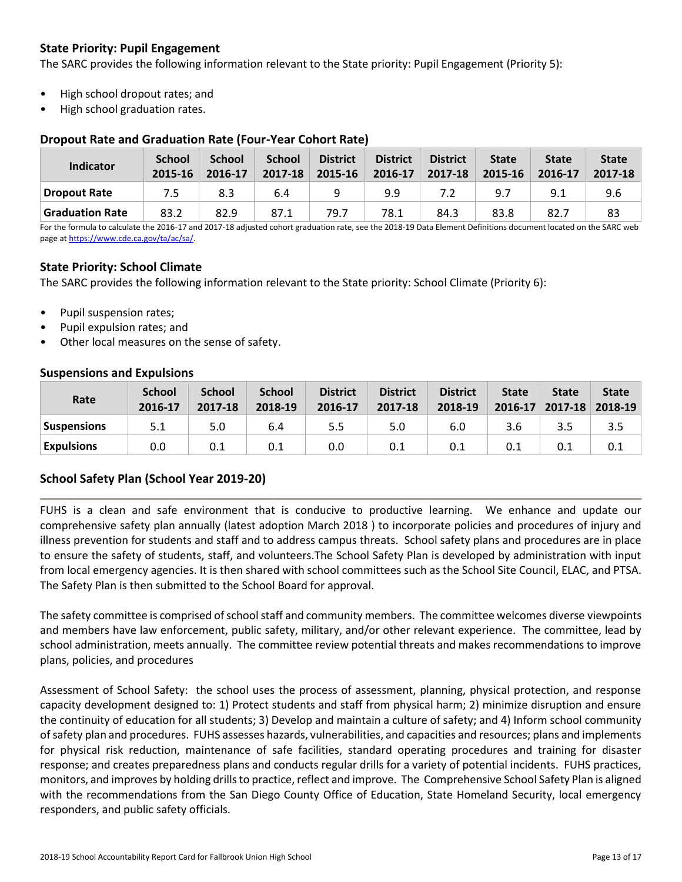### **State Priority: Pupil Engagement**

The SARC provides the following information relevant to the State priority: Pupil Engagement (Priority 5):

- High school dropout rates; and
- High school graduation rates.

#### **Dropout Rate and Graduation Rate (Four-Year Cohort Rate)**

| Indicator       | <b>School</b><br>2015-16 | <b>School</b><br>2016-17 | <b>School</b><br>2017-18 | <b>District</b><br>2015-16 | <b>District</b><br>2016-17 | <b>District</b><br>2017-18 | <b>State</b><br>2015-16 | <b>State</b><br>2016-17 | <b>State</b><br>2017-18 |
|-----------------|--------------------------|--------------------------|--------------------------|----------------------------|----------------------------|----------------------------|-------------------------|-------------------------|-------------------------|
| Dropout Rate    | 7.5                      | 8.3                      | 6.4                      |                            | 9.9                        |                            | 9.7                     | 9.1                     | 9.6                     |
| Graduation Rate | 83.2                     | 82.9                     | 87.1                     | 79.7                       | 78.1                       | 84.3                       | 83.8                    | 82.7                    | 83                      |

For the formula to calculate the 2016-17 and 2017-18 adjusted cohort graduation rate, see the 2018-19 Data Element Definitions document located on the SARC web page a[t https://www.cde.ca.gov/ta/ac/sa/.](https://www.cde.ca.gov/ta/ac/sa/)

#### **State Priority: School Climate**

The SARC provides the following information relevant to the State priority: School Climate (Priority 6):

- Pupil suspension rates;
- Pupil expulsion rates; and
- Other local measures on the sense of safety.

#### **Suspensions and Expulsions**

| Rate              | <b>School</b><br>2016-17 | <b>School</b><br>2017-18 | <b>School</b><br>2018-19 | <b>District</b><br>2016-17 | <b>District</b><br>2017-18 | <b>District</b><br>2018-19 | <b>State</b><br>$2016 - 17$ | <b>State</b><br>$2017 - 18$ | <b>State</b><br>2018-19 |
|-------------------|--------------------------|--------------------------|--------------------------|----------------------------|----------------------------|----------------------------|-----------------------------|-----------------------------|-------------------------|
| Suspensions       | 5.1                      | 5.0                      | 6.4                      | 5.5                        | 5.0                        | 6.0                        | 3.6                         | 3.5                         |                         |
| <b>Expulsions</b> | 0.0                      | 0.1                      |                          | 0.0                        | 0.1                        | 0.1                        |                             | 0.1                         |                         |

#### **School Safety Plan (School Year 2019-20)**

FUHS is a clean and safe environment that is conducive to productive learning. We enhance and update our comprehensive safety plan annually (latest adoption March 2018 ) to incorporate policies and procedures of injury and illness prevention for students and staff and to address campus threats. School safety plans and procedures are in place to ensure the safety of students, staff, and volunteers.The School Safety Plan is developed by administration with input from local emergency agencies. It is then shared with school committees such as the School Site Council, ELAC, and PTSA. The Safety Plan is then submitted to the School Board for approval.

The safety committee is comprised of school staff and community members. The committee welcomes diverse viewpoints and members have law enforcement, public safety, military, and/or other relevant experience. The committee, lead by school administration, meets annually. The committee review potential threats and makes recommendations to improve plans, policies, and procedures

Assessment of School Safety: the school uses the process of assessment, planning, physical protection, and response capacity development designed to: 1) Protect students and staff from physical harm; 2) minimize disruption and ensure the continuity of education for all students; 3) Develop and maintain a culture of safety; and 4) Inform school community of safety plan and procedures. FUHS assesses hazards, vulnerabilities, and capacities and resources; plans and implements for physical risk reduction, maintenance of safe facilities, standard operating procedures and training for disaster response; and creates preparedness plans and conducts regular drills for a variety of potential incidents. FUHS practices, monitors, and improves by holding drills to practice, reflect and improve. The Comprehensive School Safety Plan is aligned with the recommendations from the San Diego County Office of Education, State Homeland Security, local emergency responders, and public safety officials.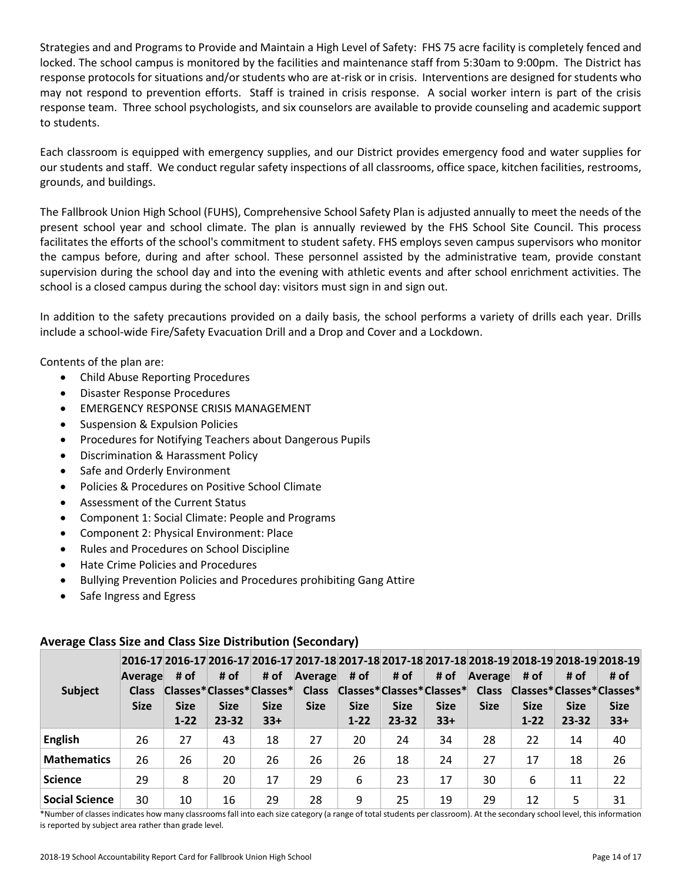Strategies and and Programs to Provide and Maintain a High Level of Safety: FHS 75 acre facility is completely fenced and locked. The school campus is monitored by the facilities and maintenance staff from 5:30am to 9:00pm. The District has response protocols for situations and/or students who are at-risk or in crisis. Interventions are designed for students who may not respond to prevention efforts. Staff is trained in crisis response. A social worker intern is part of the crisis response team. Three school psychologists, and six counselors are available to provide counseling and academic support to students.

Each classroom is equipped with emergency supplies, and our District provides emergency food and water supplies for our students and staff. We conduct regular safety inspections of all classrooms, office space, kitchen facilities, restrooms, grounds, and buildings.

The Fallbrook Union High School (FUHS), Comprehensive School Safety Plan is adjusted annually to meet the needs of the present school year and school climate. The plan is annually reviewed by the FHS School Site Council. This process facilitates the efforts of the school's commitment to student safety. FHS employs seven campus supervisors who monitor the campus before, during and after school. These personnel assisted by the administrative team, provide constant supervision during the school day and into the evening with athletic events and after school enrichment activities. The school is a closed campus during the school day: visitors must sign in and sign out.

In addition to the safety precautions provided on a daily basis, the school performs a variety of drills each year. Drills include a school-wide Fire/Safety Evacuation Drill and a Drop and Cover and a Lockdown.

Contents of the plan are:

- Child Abuse Reporting Procedures
- Disaster Response Procedures
- EMERGENCY RESPONSE CRISIS MANAGEMENT
- Suspension & Expulsion Policies
- Procedures for Notifying Teachers about Dangerous Pupils
- Discrimination & Harassment Policy
- Safe and Orderly Environment
- Policies & Procedures on Positive School Climate
- Assessment of the Current Status
- Component 1: Social Climate: People and Programs
- Component 2: Physical Environment: Place
- Rules and Procedures on School Discipline
- Hate Crime Policies and Procedures
- Bullying Prevention Policies and Procedures prohibiting Gang Attire
- Safe Ingress and Egress

| <b>Subject</b>        | Average<br><b>Class</b><br><b>Size</b> | # of<br><b>Size</b><br>$1 - 22$ | # of<br><b>Size</b><br>$23 - 32$ | # of<br><b>Size</b><br>$33+$ | Average # of<br><b>Size</b> | <b>Size</b><br>$1 - 22$ | # of<br><b>Size</b><br>$23 - 32$ | # of<br><b>Size</b><br>$33+$ | Average<br><b>Size</b> | # of<br><b>Size</b><br>$1 - 22$ | # of<br><b>Size</b><br>$23 - 32$ | 2016-17 2016-17 2016-17 2016-17 2017-18 2017-18 2017-18 2017-18 2018-19 2018-19 2018-19 2018-19<br># of<br>Classes*Classes*Classes* Class Classes*Classes*Classes* Class Classes*Classes*Classes*<br><b>Size</b><br>$33+$ |
|-----------------------|----------------------------------------|---------------------------------|----------------------------------|------------------------------|-----------------------------|-------------------------|----------------------------------|------------------------------|------------------------|---------------------------------|----------------------------------|---------------------------------------------------------------------------------------------------------------------------------------------------------------------------------------------------------------------------|
| <b>English</b>        | 26                                     | 27                              | 43                               | 18                           | 27                          | 20                      | 24                               | 34                           | 28                     | 22                              | 14                               | 40                                                                                                                                                                                                                        |
| <b>Mathematics</b>    | 26                                     | 26                              | 20                               | 26                           | 26                          | 26                      | 18                               | 24                           | 27                     | 17                              | 18                               | 26                                                                                                                                                                                                                        |
| <b>Science</b>        | 29                                     | 8                               | 20                               | 17                           | 29                          | 6                       | 23                               | 17                           | 30                     | 6                               | 11                               | 22                                                                                                                                                                                                                        |
| <b>Social Science</b> | 30                                     | 10                              | 16                               | 29                           | 28                          | 9                       | 25                               | 19                           | 29                     | 12                              | 5                                | 31                                                                                                                                                                                                                        |

#### **Average Class Size and Class Size Distribution (Secondary)**

\*Number of classes indicates how many classrooms fall into each size category (a range of total students per classroom). At the secondary school level, this information is reported by subject area rather than grade level.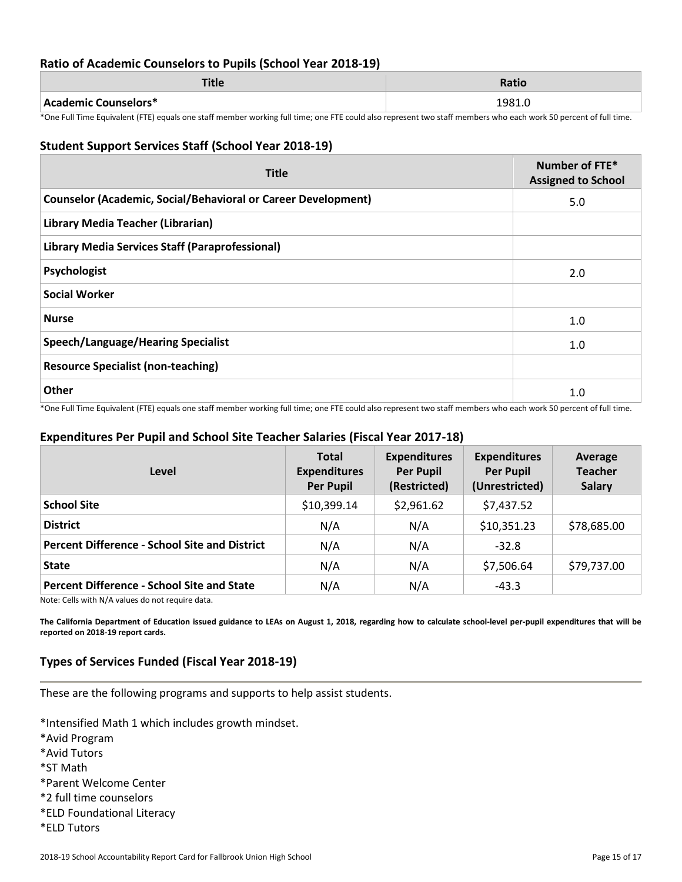#### **Ratio of Academic Counselors to Pupils (School Year 2018-19)**

| TH.<br>пис           | Ratio  |
|----------------------|--------|
| Academic Counselors* | 1981.0 |

\*One Full Time Equivalent (FTE) equals one staff member working full time; one FTE could also represent two staff members who each work 50 percent of full time.

#### **Student Support Services Staff (School Year 2018-19)**

| <b>Title</b>                                                         | Number of FTE*<br><b>Assigned to School</b> |
|----------------------------------------------------------------------|---------------------------------------------|
| <b>Counselor (Academic, Social/Behavioral or Career Development)</b> | 5.0                                         |
| Library Media Teacher (Librarian)                                    |                                             |
| <b>Library Media Services Staff (Paraprofessional)</b>               |                                             |
| Psychologist                                                         | 2.0                                         |
| <b>Social Worker</b>                                                 |                                             |
| <b>Nurse</b>                                                         | 1.0                                         |
| <b>Speech/Language/Hearing Specialist</b>                            | 1.0                                         |
| <b>Resource Specialist (non-teaching)</b>                            |                                             |
| Other                                                                | 1.0                                         |

\*One Full Time Equivalent (FTE) equals one staff member working full time; one FTE could also represent two staff members who each work 50 percent of full time.

#### **Expenditures Per Pupil and School Site Teacher Salaries (Fiscal Year 2017-18)**

| Level                                                                                                                                                                                                                                                                                                                                                                                                                                                                                                             | <b>Total</b><br><b>Expenditures</b><br><b>Per Pupil</b> | <b>Expenditures</b><br><b>Per Pupil</b><br>(Restricted) | <b>Expenditures</b><br><b>Per Pupil</b><br>(Unrestricted) | Average<br><b>Teacher</b><br><b>Salary</b> |
|-------------------------------------------------------------------------------------------------------------------------------------------------------------------------------------------------------------------------------------------------------------------------------------------------------------------------------------------------------------------------------------------------------------------------------------------------------------------------------------------------------------------|---------------------------------------------------------|---------------------------------------------------------|-----------------------------------------------------------|--------------------------------------------|
| <b>School Site</b>                                                                                                                                                                                                                                                                                                                                                                                                                                                                                                | \$10,399.14                                             | \$2,961.62                                              | \$7,437.52                                                |                                            |
| <b>District</b>                                                                                                                                                                                                                                                                                                                                                                                                                                                                                                   | N/A                                                     | N/A                                                     | \$10,351.23                                               | \$78,685.00                                |
| <b>Percent Difference - School Site and District</b>                                                                                                                                                                                                                                                                                                                                                                                                                                                              | N/A                                                     | N/A                                                     | $-32.8$                                                   |                                            |
| <b>State</b>                                                                                                                                                                                                                                                                                                                                                                                                                                                                                                      | N/A                                                     | N/A                                                     | \$7,506.64                                                | \$79,737.00                                |
| <b>Percent Difference - School Site and State</b><br>$\mathbf{a} \cdot \mathbf{b} = \mathbf{a} \cdot \mathbf{b} = \mathbf{a} \cdot \mathbf{a} \cdot \mathbf{b} = \mathbf{a} \cdot \mathbf{b} = \mathbf{a} \cdot \mathbf{b} = \mathbf{a} \cdot \mathbf{b} = \mathbf{a} \cdot \mathbf{b} = \mathbf{a} \cdot \mathbf{b} = \mathbf{a} \cdot \mathbf{b} = \mathbf{a} \cdot \mathbf{b} = \mathbf{a} \cdot \mathbf{b} = \mathbf{a} \cdot \mathbf{b} = \mathbf{a} \cdot \mathbf{b} = \mathbf{a} \cdot \mathbf{b} = \math$ | N/A                                                     | N/A                                                     | $-43.3$                                                   |                                            |

Note: Cells with N/A values do not require data.

**The California Department of Education issued guidance to LEAs on August 1, 2018, regarding how to calculate school-level per-pupil expenditures that will be reported on 2018-19 report cards.**

## **Types of Services Funded (Fiscal Year 2018-19)**

These are the following programs and supports to help assist students.

\*Intensified Math 1 which includes growth mindset. \*Avid Program \*Avid Tutors \*ST Math \*Parent Welcome Center \*2 full time counselors

- \*ELD Foundational Literacy
- \*ELD Tutors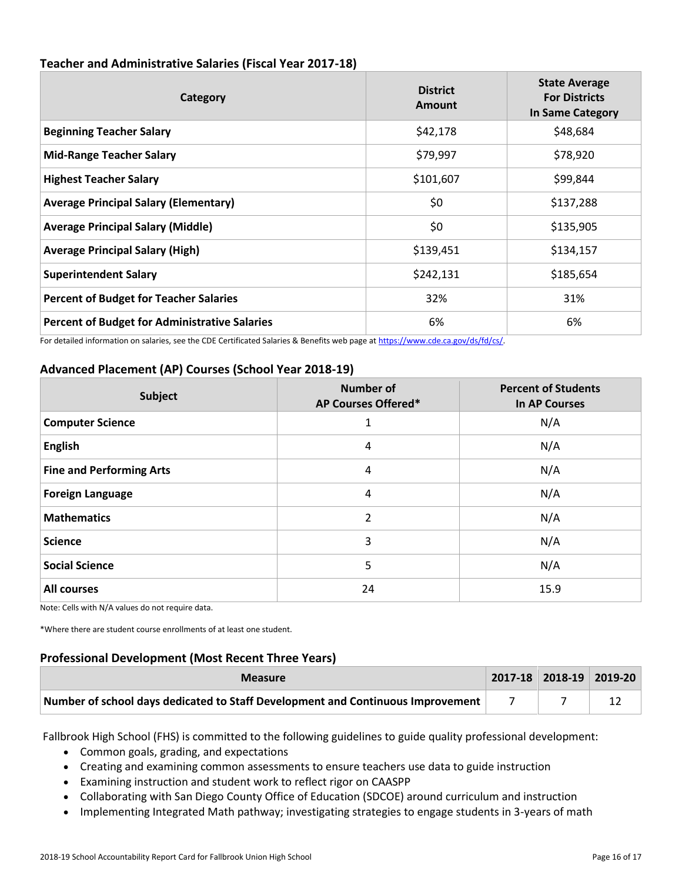| Category                                             | <b>District</b><br>Amount | <b>State Average</b><br><b>For Districts</b><br><b>In Same Category</b> |
|------------------------------------------------------|---------------------------|-------------------------------------------------------------------------|
| <b>Beginning Teacher Salary</b>                      | \$42,178                  | \$48,684                                                                |
| <b>Mid-Range Teacher Salary</b>                      | \$79,997                  | \$78,920                                                                |
| <b>Highest Teacher Salary</b>                        | \$101,607                 | \$99,844                                                                |
| <b>Average Principal Salary (Elementary)</b>         | \$0                       | \$137,288                                                               |
| <b>Average Principal Salary (Middle)</b>             | \$0                       | \$135,905                                                               |
| <b>Average Principal Salary (High)</b>               | \$139,451                 | \$134,157                                                               |
| <b>Superintendent Salary</b>                         | \$242,131                 | \$185,654                                                               |
| <b>Percent of Budget for Teacher Salaries</b>        | 32%                       | 31%                                                                     |
| <b>Percent of Budget for Administrative Salaries</b> | 6%                        | 6%                                                                      |

# **Teacher and Administrative Salaries (Fiscal Year 2017-18)**

For detailed information on salaries, see the CDE Certificated Salaries & Benefits web page at [https://www.cde.ca.gov/ds/fd/cs/.](http://www.cde.ca.gov/ds/fd/cs/) 

# **Advanced Placement (AP) Courses (School Year 2018-19)**

| <b>Subject</b>                  | <b>Number of</b><br>AP Courses Offered* | <b>Percent of Students</b><br><b>In AP Courses</b> |
|---------------------------------|-----------------------------------------|----------------------------------------------------|
| <b>Computer Science</b>         |                                         | N/A                                                |
| <b>English</b>                  | 4                                       | N/A                                                |
| <b>Fine and Performing Arts</b> | 4                                       | N/A                                                |
| <b>Foreign Language</b>         | 4                                       | N/A                                                |
| <b>Mathematics</b>              | 2                                       | N/A                                                |
| <b>Science</b>                  | 3                                       | N/A                                                |
| <b>Social Science</b>           | 5                                       | N/A                                                |
| <b>All courses</b>              | 24                                      | 15.9                                               |

Note: Cells with N/A values do not require data.

\*Where there are student course enrollments of at least one student.

# **Professional Development (Most Recent Three Years)**

| <b>Measure</b>                                                                            | $\vert$ 2017-18 2018-19 2019-20 |  |
|-------------------------------------------------------------------------------------------|---------------------------------|--|
| Number of school days dedicated to Staff Development and Continuous Improvement $\vert$ 7 |                                 |  |

Fallbrook High School (FHS) is committed to the following guidelines to guide quality professional development:

- Common goals, grading, and expectations
- Creating and examining common assessments to ensure teachers use data to guide instruction
- Examining instruction and student work to reflect rigor on CAASPP
- Collaborating with San Diego County Office of Education (SDCOE) around curriculum and instruction
- Implementing Integrated Math pathway; investigating strategies to engage students in 3-years of math